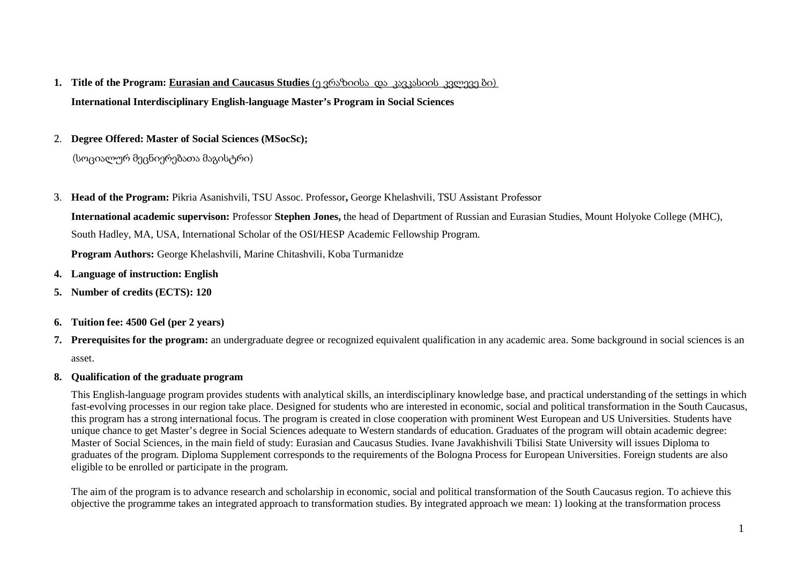- **1. Title of the Program: Eurasian and Caucasus Studies** (ე ვრაზიისა და კავკასიის კვლევე ბი) **International Interdisciplinary English-language Master's Program in Social Sciences**
- 2. **Degree Offered: Master of Social Sciences (MSocSc);**

(სოციალურ მეცნიერებათა მაგისტრი)

3. **Head of the Program:** Pikria Asanishvili, TSU Assoc. Professor**,** George Khelashvili, TSU Assistant Professor

**International academic supervison:** Professor **Stephen Jones,** the head of Department of Russian and Eurasian Studies, Mount Holyoke College (MHC), South Hadley, MA, USA, International Scholar of the OSI/HESP Academic Fellowship Program.

**Program Authors:** George Khelashvili, Marine Chitashvili, Koba Turmanidze

- **4. Language of instruction: English**
- **5. Number of credits (ECTS): 120**
- **6. Tuition fee: 4500 Gel (per 2 years)**
- **7. Prerequisites for the program:** an undergraduate degree or recognized equivalent qualification in any academic area. Some background in social sciences is an asset.
- **8. Qualification of the graduate program**

This English-language program provides students with analytical skills, an interdisciplinary knowledge base, and practical understanding of the settings in which fast-evolving processes in our region take place. Designed for students who are interested in economic, social and political transformation in the South Caucasus, this program has a strong international focus. The program is created in close cooperation with prominent West European and US Universities. Students have unique chance to get Master's degree in Social Sciences adequate to Western standards of education. Graduates of the program will obtain academic degree: Master of Social Sciences, in the main field of study: Eurasian and Caucasus Studies. Ivane Javakhishvili Tbilisi State University will issues Diploma to graduates of the program. Diploma Supplement corresponds to the requirements of the Bologna Process for European Universities. Foreign students are also eligible to be enrolled or participate in the program.

The aim of the program is to advance research and scholarship in economic, social and political transformation of the South Caucasus region. To achieve this objective the programme takes an integrated approach to transformation studies. By integrated approach we mean: 1) looking at the transformation process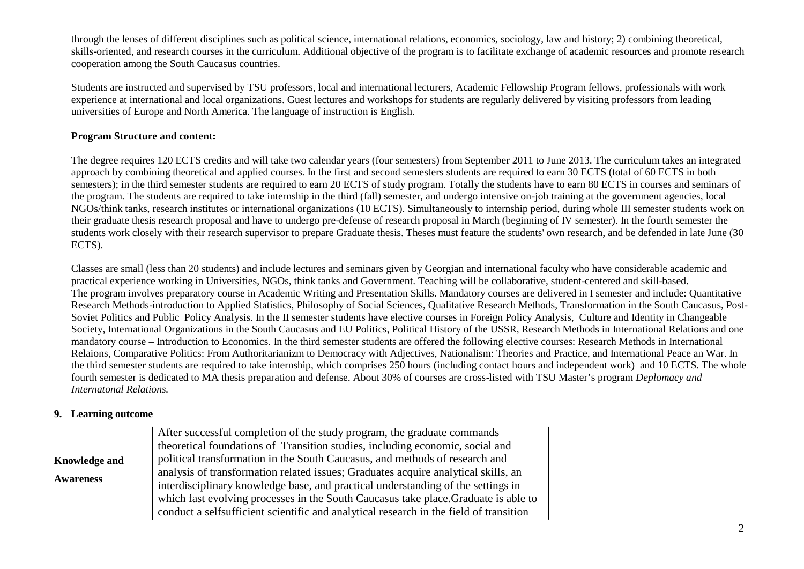through the lenses of different disciplines such as political science, international relations, economics, sociology, law and history; 2) combining theoretical, skills-oriented, and research courses in the curriculum. Additional objective of the program is to facilitate exchange of academic resources and promote research cooperation among the South Caucasus countries.

Students are instructed and supervised by TSU professors, local and international lecturers, Academic Fellowship Program fellows, professionals with work experience at international and local organizations. Guest lectures and workshops for students are regularly delivered by visiting professors from leading universities of Europe and North America. The language of instruction is English.

#### **Program Structure and content:**

The degree requires 120 ECTS credits and will take two calendar years (four semesters) from September 2011 to June 2013. The curriculum takes an integrated approach by combining theoretical and applied courses. In the first and second semesters students are required to earn 30 ECTS (total of 60 ECTS in both semesters); in the third semester students are required to earn 20 ECTS of study program. Totally the students have to earn 80 ECTS in courses and seminars of the program. The students are required to take internship in the third (fall) semester, and undergo intensive on-job training at the government agencies, local NGOs/think tanks, research institutes or international organizations (10 ECTS). Simultaneously to internship period, during whole III semester students work on their graduate thesis research proposal and have to undergo pre-defense of research proposal in March (beginning of IV semester). In the fourth semester the students work closely with their research supervisor to prepare Graduate thesis. Theses must feature the students' own research, and be defended in late June (30 ECTS).

Classes are small (less than 20 students) and include lectures and seminars given by Georgian and international faculty who have considerable academic and practical experience working in Universities, NGOs, think tanks and Government. Teaching will be collaborative, student-centered and skill-based. The program involves preparatory course in Academic Writing and Presentation Skills. Mandatory courses are delivered in I semester and include: Quantitative Research Methods-introduction to Applied Statistics, Philosophy of Social Sciences, Qualitative Research Methods, Transformation in the South Caucasus, Post- Soviet Politics and Public Policy Analysis. In the II semester students have elective courses in Foreign Policy Analysis, Culture and Identity in Changeable Society, International Organizations in the South Caucasus and EU Politics, Political History of the USSR, Research Methods in International Relations and one mandatory course – Introduction to Economics. In the third semester students are offered the following elective courses: Research Methods in International Relaions, Comparative Politics: From Authoritarianizm to Democracy with Adjectives, Nationalism: Theories and Practice, and International Peace an War. In the third semester students are required to take internship, which comprises 250 hours (including contact hours and independent work) and 10 ECTS. The whole fourth semester is dedicated to MA thesis preparation and defense. About 30% of courses are cross-listed with TSU Master's program *Deplomacy and Internatonal Relations.*

#### **9. Learning outcome**

|                      | After successful completion of the study program, the graduate commands                |
|----------------------|----------------------------------------------------------------------------------------|
|                      | theoretical foundations of Transition studies, including economic, social and          |
| <b>Knowledge and</b> | political transformation in the South Caucasus, and methods of research and            |
|                      | analysis of transformation related issues; Graduates acquire analytical skills, an     |
| <b>Awareness</b>     | interdisciplinary knowledge base, and practical understanding of the settings in       |
|                      | which fast evolving processes in the South Caucasus take place. Graduate is able to    |
|                      | conduct a selfsufficient scientific and analytical research in the field of transition |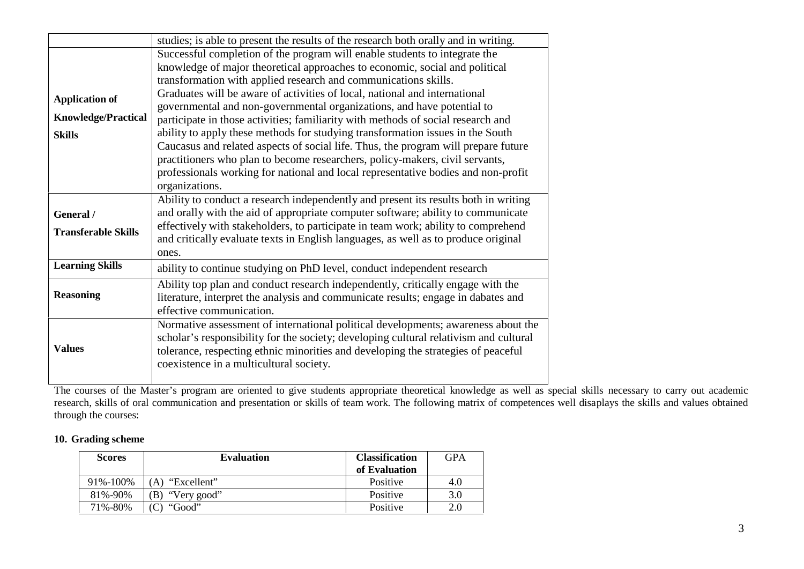|                                                                      | studies; is able to present the results of the research both orally and in writing.                                                                                                                                                                                                                                                                                                                                                                                                                                                                                                                                                                                                                                                                                                                                                     |
|----------------------------------------------------------------------|-----------------------------------------------------------------------------------------------------------------------------------------------------------------------------------------------------------------------------------------------------------------------------------------------------------------------------------------------------------------------------------------------------------------------------------------------------------------------------------------------------------------------------------------------------------------------------------------------------------------------------------------------------------------------------------------------------------------------------------------------------------------------------------------------------------------------------------------|
| <b>Application of</b><br><b>Knowledge/Practical</b><br><b>Skills</b> | Successful completion of the program will enable students to integrate the<br>knowledge of major theoretical approaches to economic, social and political<br>transformation with applied research and communications skills.<br>Graduates will be aware of activities of local, national and international<br>governmental and non-governmental organizations, and have potential to<br>participate in those activities; familiarity with methods of social research and<br>ability to apply these methods for studying transformation issues in the South<br>Caucasus and related aspects of social life. Thus, the program will prepare future<br>practitioners who plan to become researchers, policy-makers, civil servants,<br>professionals working for national and local representative bodies and non-profit<br>organizations. |
| General /<br><b>Transferable Skills</b>                              | Ability to conduct a research independently and present its results both in writing<br>and orally with the aid of appropriate computer software; ability to communicate<br>effectively with stakeholders, to participate in team work; ability to comprehend<br>and critically evaluate texts in English languages, as well as to produce original<br>ones.                                                                                                                                                                                                                                                                                                                                                                                                                                                                             |
| <b>Learning Skills</b>                                               | ability to continue studying on PhD level, conduct independent research                                                                                                                                                                                                                                                                                                                                                                                                                                                                                                                                                                                                                                                                                                                                                                 |
| <b>Reasoning</b>                                                     | Ability top plan and conduct research independently, critically engage with the<br>literature, interpret the analysis and communicate results; engage in dabates and<br>effective communication.                                                                                                                                                                                                                                                                                                                                                                                                                                                                                                                                                                                                                                        |
| <b>Values</b>                                                        | Normative assessment of international political developments; awareness about the<br>scholar's responsibility for the society; developing cultural relativism and cultural<br>tolerance, respecting ethnic minorities and developing the strategies of peaceful<br>coexistence in a multicultural society.                                                                                                                                                                                                                                                                                                                                                                                                                                                                                                                              |

The courses of the Master's program are oriented to give students appropriate theoretical knowledge as well as special skills necessary to carry out academic research, skills of oral communication and presentation or skills of team work. The following matrix of competences well disaplays the skills and values obtained through the courses:

### **10. Grading scheme**

| <b>Scores</b> | <b>Evaluation</b>  | <b>Classification</b> | GPA |
|---------------|--------------------|-----------------------|-----|
|               |                    | of Evaluation         |     |
| 91%-100%      | "Excellent"<br>`A) | Positive              | 4.0 |
| 81\%-90\%     | "Very good"<br>B)  | Positive              | 3.0 |
| 71%-80%       | "Good"             | Positive              | 2.0 |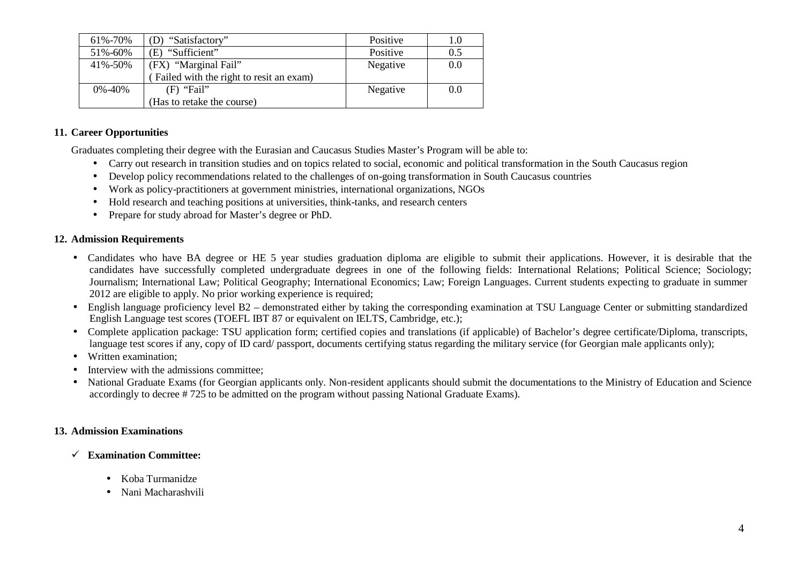| 61%-70%      | "Satisfactory"                          | Positive | 1.0 |
|--------------|-----------------------------------------|----------|-----|
| 51%-60%      | "Sufficient"<br>E)                      | Positive | 0.5 |
| 41%-50%      | (FX) "Marginal Fail"                    | Negative | 0.0 |
|              | Failed with the right to resit an exam) |          |     |
| $0\% - 40\%$ | $(F)$ "Fail"                            | Negative | 0.0 |
|              | (Has to retake the course)              |          |     |

#### **11. Career Opportunities**

Graduates completing their degree with the Eurasian and Caucasus Studies Master's Program will be able to:

- Carry out research in transition studies and on topics related to social, economic and political transformation in the South Caucasus region
- Develop policy recommendations related to the challenges of on-going transformation in South Caucasus countries
- Work as policy-practitioners at government ministries, international organizations, NGOs
- Hold research and teaching positions at universities, think-tanks, and research centers
- Prepare for study abroad for Master's degree or PhD.

### **12. Admission Requirements**

- Candidates who have BA degree or HE 5 year studies graduation diploma are eligible to submit their applications. However, it is desirable that the candidates have successfully completed undergraduate degrees in one of the following fields: International Relations; Political Science; Sociology; Journalism; International Law; Political Geography; International Economics; Law; Foreign Languages. Current students expecting to graduate in summer 2012 are eligible to apply. No prior working experience is required;
- English language proficiency level B2 demonstrated either by taking the corresponding examination at TSU Language Center or submitting standardized English Language test scores (TOEFL IBT 87 or equivalent on IELTS, Cambridge, etc.);
- Complete application package: TSU application form; certified copies and translations (if applicable) of Bachelor's degree certificate/Diploma, transcripts, language test scores if any, copy of ID card/ passport, documents certifying status regarding the military service (for Georgian male applicants only);
- Written examination:
- Interview with the admissions committee;
- National Graduate Exams (for Georgian applicants only. Non-resident applicants should submit the documentations to the Ministry of Education and Science accordingly to decree # 725 to be admitted on the program without passing National Graduate Exams).

## **13. Admission Examinations**

- **Examination Committee:**
	- Koba Turmanidze
	- Nani Macharashvili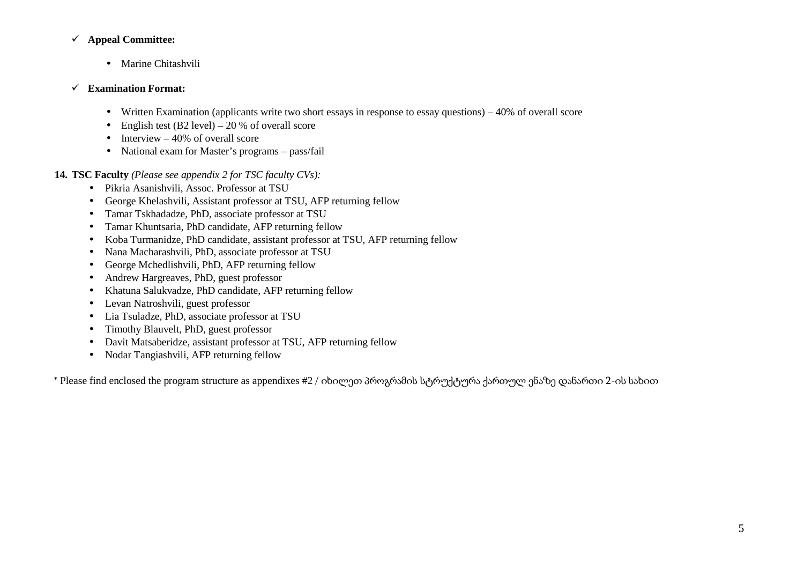#### **Appeal Committee:**

- Marine Chitashvili
- **Examination Format:**
	- Written Examination (applicants write two short essays in response to essay questions) 40% of overallscore
	- English test (B2 level) 20 % of overall score
	- $\bullet$  Interview 40% of overall score
	- National exam for Master's programs pass/fail

**14. TSC Faculty** *(Please see appendix 2 for TSC faculty CVs):*

- Pikria Asanishvili, Assoc. Professor at TSU
- George Khelashvili, Assistant professor at TSU, AFP returning fellow
- Tamar Tskhadadze, PhD, associate professor at TSU
- Tamar Khuntsaria, PhD candidate, AFP returning fellow
- Koba Turmanidze, PhD candidate, assistant professor at TSU, AFP returning fellow
- Nana Macharashvili, PhD, associate professor at TSU
- George Mchedlishvili, PhD, AFP returning fellow
- Andrew Hargreaves, PhD, guest professor
- Khatuna Salukvadze, PhD candidate, AFP returning fellow
- Levan Natroshvili, guest professor
- Lia Tsuladze, PhD, associate professor at TSU
- Timothy Blauvelt, PhD, guest professor
- Davit Matsaberidze, assistant professor at TSU, AFP returning fellow
- Nodar Tangiashvili, AFP returning fellow

\* Please find enclosed the program structure as appendixes #2 / იხილეთ პროგრამის სტრუქტურა ქართულ ენაზე დანართი 2-ის სახით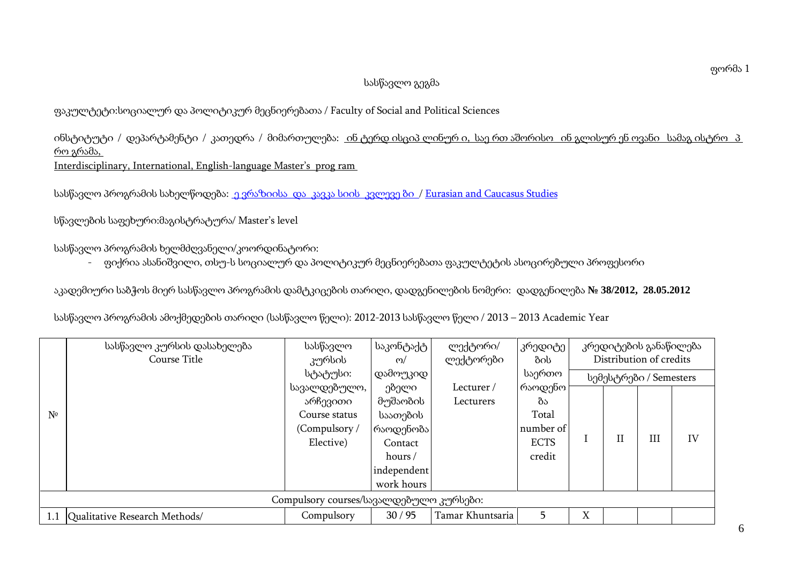## სასწავლო გეგმა

# ფაკულტეტი:სოციალურ და პოლიტიკურ მეცნიერებათა / Faculty of Social and Political Sciences

ინსტიტუტი / დეპარტამენტი / კათედრა / მიმართულება: ინ ტერდ ისციპ ლინურ ი, საე რთ აშორისო ინ გლისურ ენ ოვანი სამაგ ისტრო პ რო გრამა,

Interdisciplinary, International, English-language Master's prog ram

სასწავლო პროგრამის სახელწოდება: ე ვრაზიისა და კავკა სიის კვლევე ბი / Eurasian and Caucasus Studies

სწავლების საფეხური:მაგისტრატურა/ Master's level

სასწავლო პროგრამის ხელმძღვანელი/კოორდინატორი:

- ფიქრია ასანიშვილი, თსუ-ს სოციალურ და პოლიტიკურ მეცნიერებათა ფაკულტეტის ასოცირებული პროფესორი

აკადემიური საბჭოს მიერ სასწავლო პროგრამის დამტკიცების თარიღი, დადგენილების ნომერი: დადგენილება **38/2012, 28.05.2012**

სასწავლო პროგრამის ამოქმედების თარიღი (სასწავლო წელი):2012-2013 სასწავლო წელი / 2013 – 2013 Academic Year

| სასწავლო კურსის დასახელება<br>Course Title | სასწავლო<br>კურსის | საკონტაქტ<br>$\omega$ | ლექტორი/<br>ლექტორები | კრედიტე<br>ბის |   | კრედიტების განაწილება<br>Distribution of credits |     |    |
|--------------------------------------------|--------------------|-----------------------|-----------------------|----------------|---|--------------------------------------------------|-----|----|
|                                            | სტატუსი:           |                       |                       | საერთო         |   | სემესტრები / Semesters                           |     |    |
|                                            | სავალდებულო,       | ებელი                 | Lecturer/             | რაოდენო        |   |                                                  |     |    |
|                                            | არჩევითი           | მუშაობის              | Lecturers             | ზა             |   |                                                  |     |    |
| $N^{\circ}$                                | Course status      | საათების              |                       | Total          |   |                                                  |     |    |
|                                            | (Compulsory /      | რაოდენობა             |                       | number of      |   |                                                  |     |    |
|                                            | Elective)          | Contact               |                       | <b>ECTS</b>    |   |                                                  | III | IV |
|                                            |                    | hours $/$             |                       | credit         |   |                                                  |     |    |
|                                            |                    | independent           |                       |                |   |                                                  |     |    |
|                                            |                    | work hours            |                       |                |   |                                                  |     |    |
| Compulsory courses/სავალდებულო კურსები:    |                    |                       |                       |                |   |                                                  |     |    |
| Qualitative Research Methods/              | Compulsory         | 30/95                 | Tamar Khuntsaria      | 5              | X |                                                  |     |    |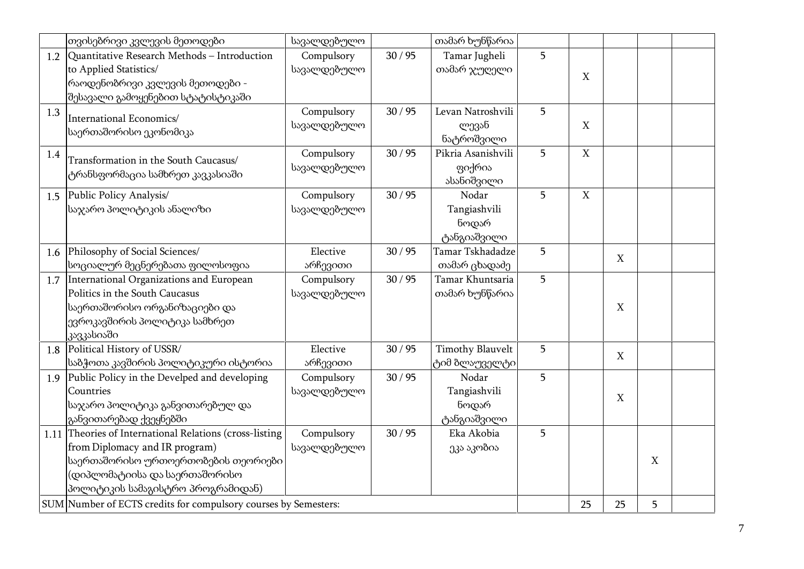|     | თვისებრივი კვლევის მეთოდები                                                                                                                                                                            | სავალდებულო               |       | თამარ ხუნწარია                                |   |             |                           |                           |  |
|-----|--------------------------------------------------------------------------------------------------------------------------------------------------------------------------------------------------------|---------------------------|-------|-----------------------------------------------|---|-------------|---------------------------|---------------------------|--|
|     | 1.2 Quantitative Research Methods – Introduction<br>to Applied Statistics/<br> რაოდენობრივი კვლევის მეთოდები -<br>შესავალი გამოყენებით სტატისტიკაში                                                    | Compulsory<br>სავალდებულო | 30/95 | Tamar Jugheli<br>თამარ ჯუღელი                 | 5 | X           |                           |                           |  |
| 1.3 | International Economics/<br>საერთაშორისო ეკონომიკა                                                                                                                                                     | Compulsory<br>სავალდებულო | 30/95 | Levan Natroshvili<br>ლევან<br>ნატროშვილი      | 5 | $\mathbf X$ |                           |                           |  |
| 1.4 | Transformation in the South Caucasus/<br>ტრანსფორმაცია სამხრეთ კავკასიაში                                                                                                                              | Compulsory<br>სავალდებულო | 30/95 | Pikria Asanishvili<br>ფიქრია<br>ასანიშვილი    | 5 | $\mathbf X$ |                           |                           |  |
| 1.5 | Public Policy Analysis/<br>საჯარო პოლიტიკის ანალიზი                                                                                                                                                    | Compulsory<br>სავალდებულო | 30/95 | Nodar<br>Tangiashvili<br>ნოდარ<br>ტანგიაშვილი | 5 | $\mathbf X$ |                           |                           |  |
| 1.6 | Philosophy of Social Sciences/<br>სოციალურ მეცნერებათა ფილოსოფია                                                                                                                                       | Elective<br>არჩევითი      | 30/95 | Tamar Tskhadadze<br>თამარ ცხადაძე             | 5 |             | $\mathbf X$               |                           |  |
|     | 1.7 International Organizations and European<br>Politics in the South Caucasus<br>საერთაშორისო ორგანიზაციები და<br>ევროკავშირის პოლიტიკა სამხრეთ<br>კავკასიაში                                         | Compulsory<br>სავალდებულო | 30/95 | Tamar Khuntsaria<br>თამარ ხუნწარია            | 5 |             | $\mathbf X$               |                           |  |
| 1.8 | Political History of USSR/<br>∣საბჭოთა კავშირის პოლიტიკური ისტორია                                                                                                                                     | Elective<br>არჩევითი      | 30/95 | <b>Timothy Blauvelt</b><br>ტიმ ბლაუველტი      | 5 |             | $\mathbf X$               |                           |  |
| 1.9 | Public Policy in the Develped and developing<br>Countries<br>საჯარო პოლიტიკა განვითარებულ და<br>განვითარებად ქვეყნებში                                                                                 | Compulsory<br>სავალდებულო | 30/95 | Nodar<br>Tangiashvili<br>ნოდარ<br>ტანგიაშვილი | 5 |             | $\boldsymbol{\mathrm{X}}$ |                           |  |
|     | 1.11 Theories of International Relations (cross-listing<br>from Diplomacy and IR program)<br>საერთაშორისო ურთოერთობების თეორიები<br>(დიპლომატიისა და საერთაშორისო<br>პოლიტიკის სამაგისტრო პროგრამიდან) | Compulsory<br>სავალდებულო | 30/95 | Eka Akobia<br>ეკა აკობია                      | 5 |             |                           | $\boldsymbol{\mathrm{X}}$ |  |
|     | SUM Number of ECTS credits for compulsory courses by Semesters:                                                                                                                                        |                           |       |                                               |   | 25          | 25                        | 5                         |  |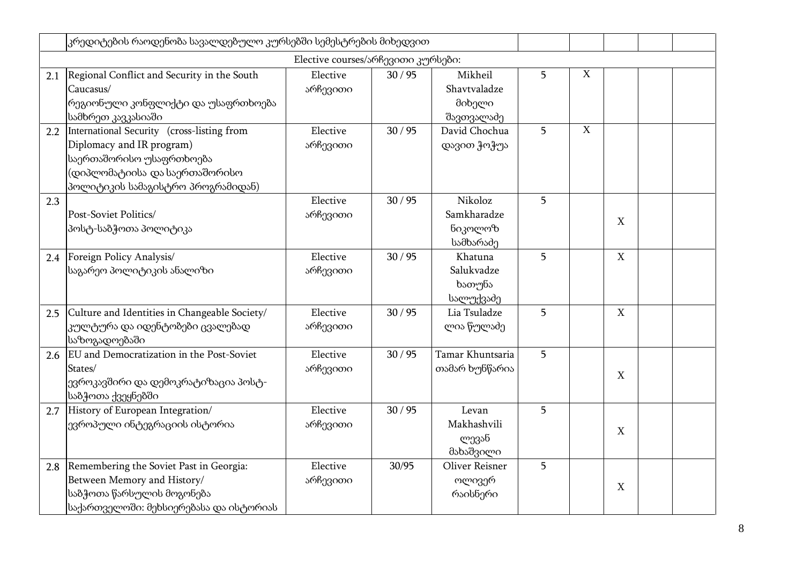|     | კრედიტების რაოდენობა სავალდებულო კურსებში სემესტრების მიხედვით                                                                                                            |                                    |       |                                                 |   |             |                  |  |
|-----|---------------------------------------------------------------------------------------------------------------------------------------------------------------------------|------------------------------------|-------|-------------------------------------------------|---|-------------|------------------|--|
|     |                                                                                                                                                                           | Elective courses/არჩევითი კურსები: |       |                                                 |   |             |                  |  |
| 2.1 | Regional Conflict and Security in the South<br>Caucasus/<br> რეგიონული კონფლიქტი და უსაფრთხოება <br>სამხრეთ კავკასიაში                                                    | Elective<br>არჩევითი               | 30/95 | Mikheil<br>Shavtvaladze<br>მიხელი<br>შავთვალაძე | 5 | X           |                  |  |
| 2.2 | International Security (cross-listing from<br>Diplomacy and IR program)<br>საერთაშორისო უსაფრთხოება<br>(დიპლომატიისა და საერთაშორისო<br>პოლიტიკის სამაგისტრო პროგრამიდან) | Elective<br>არჩევითი               | 30/95 | David Chochua<br>დავით ჭოჭუა                    | 5 | $\mathbf X$ |                  |  |
| 2.3 | Post-Soviet Politics/<br>პოსტ-საბჭოთა პოლიტიკა                                                                                                                            | Elective<br>არჩევითი               | 30/95 | Nikoloz<br>Samkharadze<br>ნიკოლოზ<br>სამხარაძე  | 5 |             | X                |  |
| 2.4 | Foreign Policy Analysis/<br>საგარეო პოლიტიკის ანალიზი                                                                                                                     | Elective<br>არჩევითი               | 30/95 | Khatuna<br>Salukvadze<br>ხათუნა<br>სალუქვაძე    | 5 |             | $\boldsymbol{X}$ |  |
| 2.5 | Culture and Identities in Changeable Society/<br>კულტურა და იდენტობები ცვალებად<br>საზოგადოებაში                                                                          | Elective<br>არჩევითი               | 30/95 | Lia Tsuladze<br>ლია წულაძე                      | 5 |             | $\mathbf X$      |  |
| 2.6 | EU and Democratization in the Post-Soviet<br>States/<br>ევროკავშირი და დემოკრატიზაცია პოსტ-<br>საბჭოთა ქვეყნებში                                                          | Elective<br>არჩევითი               | 30/95 | Tamar Khuntsaria<br>თამარ ხუნწარია              | 5 |             | X                |  |
| 2.7 | History of European Integration/<br>ევროპული ინტეგრაციის ისტორია                                                                                                          | Elective<br>არჩევითი               | 30/95 | Levan<br>Makhashvili<br>ლევან<br>მახაშვილი      | 5 |             | X                |  |
| 2.8 | Remembering the Soviet Past in Georgia:<br>Between Memory and History/<br>საბჭოთა წარსულის მოგონება<br>საქართველოში: მეხსიერებასა და ისტორიას                             | Elective<br>არჩევითი               | 30/95 | Oliver Reisner<br>ოლივერ<br>რაისნერი            | 5 |             | X                |  |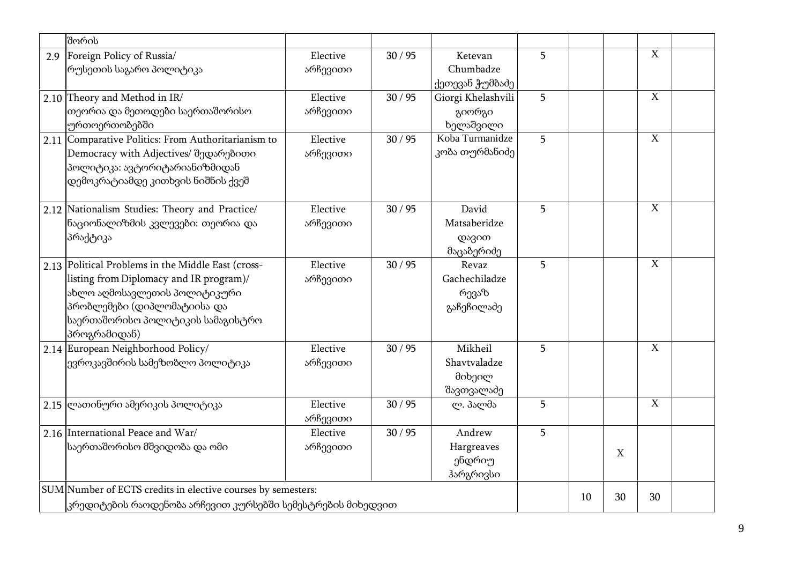|     | შორის                                                                                                                                                                                                             |                      |       |                                                 |   |    |    |                |  |
|-----|-------------------------------------------------------------------------------------------------------------------------------------------------------------------------------------------------------------------|----------------------|-------|-------------------------------------------------|---|----|----|----------------|--|
| 2.9 | Foreign Policy of Russia/<br>რუსეთის საგარო პოლიტიკა                                                                                                                                                              | Elective<br>არჩევითი | 30/95 | Ketevan<br>Chumbadze<br>ქეთევან ჭუმბაძე         | 5 |    |    | $\mathbf X$    |  |
|     | 2.10 Theory and Method in IR/<br>თეორია და მეთოდები საერთაშორისო<br>ურთოერთობებში                                                                                                                                 | Elective<br>არჩევითი | 30/95 | Giorgi Khelashvili<br>გიორგი<br>ხელაშვილი       | 5 |    |    | $\overline{X}$ |  |
|     | 2.11 Comparative Politics: From Authoritarianism to<br>Democracy with Adjectives/ შედარებითი<br>პოლიტიკა: ავტორიტარიანიზმიდან<br>დემოკრატიამდე კითხვის ნიშნის ქვეშ                                                | Elective<br>არჩევითი | 30/95 | Koba Turmanidze<br>კობა თურმანიძე               | 5 |    |    | $\mathbf X$    |  |
|     | 2.12 Nationalism Studies: Theory and Practice/<br>ნაციონალიზმის კვლევები: თეორია და<br>პრაქტიკა                                                                                                                   | Elective<br>არჩევითი | 30/95 | David<br>Matsaberidze<br>დავით<br>მაცაბერიძე    | 5 |    |    | $\mathbf X$    |  |
|     | 2.13 Political Problems in the Middle East (cross-<br>listing from Diplomacy and IR program)/<br>ახლო აღმოსავლეთის პოლიტიკური<br>პრობლემები (დიპლომატიისა და<br>საერთაშორისო პოლიტიკის სამაგისტრო<br>პროგრამიდან) | Elective<br>არჩევითი | 30/95 | Revaz<br>Gachechiladze<br>რევაზ<br>გაჩეჩილაძე   | 5 |    |    | $\overline{X}$ |  |
|     | 2.14 European Neighborhood Policy/<br>ევროკავშირის სამეზობლო პოლიტიკა                                                                                                                                             | Elective<br>არჩევითი | 30/95 | Mikheil<br>Shavtvaladze<br>მიხეილ<br>შავთვალაძე | 5 |    |    | $\mathbf X$    |  |
|     | 2.15 ლათინური ამერიკის პოლიტიკა                                                                                                                                                                                   | Elective<br>არჩევითი | 30/95 | ლ. პალმა                                        | 5 |    |    | $\mathbf X$    |  |
|     | 2.16 International Peace and War/<br>საერთაშორისო მშვიდობა და ომი                                                                                                                                                 | Elective<br>არჩევითი | 30/95 | Andrew<br>Hargreaves<br>ენდრიუ<br>ჰარგრივსი     | 5 |    | X  |                |  |
|     | SUM Number of ECTS credits in elective courses by semesters:<br>კრედიტების რაოდენობა არჩევით კურსებში სემესტრების მიხედვით                                                                                        |                      |       |                                                 |   | 10 | 30 | 30             |  |